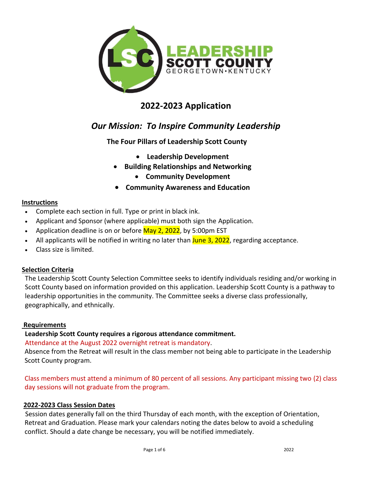

# **2022-2023 Application**

# *Our Mission: To Inspire Community Leadership*

**The Four Pillars of Leadership Scott County**

- **Leadership Development**
- **Building Relationships and Networking**
	- **Community Development**
- **Community Awareness and Education**

## **Instructions**

- Complete each section in full. Type or print in black ink.
- Applicant and Sponsor (where applicable) must both sign the Application.
- Application deadline is on or before May 2, 2022, by 5:00pm EST
- All applicants will be notified in writing no later than June 3, 2022, regarding acceptance.
- Class size is limited.

## **Selection Criteria**

The Leadership Scott County Selection Committee seeks to identify individuals residing and/or working in Scott County based on information provided on this application. Leadership Scott County is a pathway to leadership opportunities in the community. The Committee seeks a diverse class professionally, geographically, and ethnically.

## **Requirements**

## **Leadership Scott County requires a rigorous attendance commitment.**

## Attendance at the August 2022 overnight retreat is mandatory.

Absence from the Retreat will result in the class member not being able to participate in the Leadership Scott County program.

## Class members must attend a minimum of 80 percent of all sessions. Any participant missing two (2) class day sessions will not graduate from the program.

## **2022-2023 Class Session Dates**

 Session dates generally fall on the third Thursday of each month, with the exception of Orientation, Retreat and Graduation. Please mark your calendars noting the dates below to avoid a scheduling conflict. Should a date change be necessary, you will be notified immediately.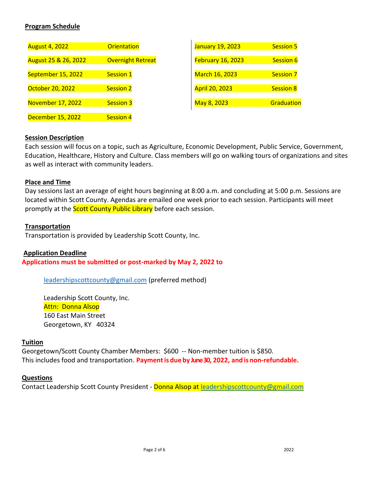## **Program Schedule**

| <b>August 4, 2022</b>    | Orientation              | <b>January 19, 2023</b> | <b>Session 5</b> |
|--------------------------|--------------------------|-------------------------|------------------|
| August 25 & 26, 2022     | <b>Overnight Retreat</b> | February 16, 2023       | <b>Session 6</b> |
| September 15, 2022       | Session 1                | March 16, 2023          | <b>Session 7</b> |
| October 20, 2022         | <b>Session 2</b>         | <b>April 20, 2023</b>   | <b>Session 8</b> |
| <b>November 17, 2022</b> | <b>Session 3</b>         | May 8, 2023             | Graduation       |
| <b>December 15, 2022</b> | <b>Session 4</b>         |                         |                  |

### **Session Description**

Each session will focus on a topic, such as Agriculture, Economic Development, Public Service, Government, Education, Healthcare, History and Culture. Class members will go on walking tours of organizations and sites as well as interact with community leaders.

### **Place and Time**

Day sessions last an average of eight hours beginning at 8:00 a.m. and concluding at 5:00 p.m. Sessions are located within Scott County. Agendas are emailed one week prior to each session. Participants will meet promptly at the **Scott County Public Library** before each session.

#### **Transportation**

Transportation is provided by Leadership Scott County, Inc.

#### **Application Deadline**

**Applications must be submitted or post-marked by May 2, 2022 to**

[leadershipscottcounty@gmail.com](mailto:leadershipscottcounty@gmail.com) (preferred method)

Leadership Scott County, Inc. Attn: Donna Alsop 160 East Main Street Georgetown, KY 40324

#### **Tuition**

Georgetown/Scott County Chamber Members: \$600 -- Non-member tuition is \$850. This includes food and transportation. **Paymentis due by June 30, 2022, and isnon-refundable.**

#### **Questions**

Contact Leadership Scott County President - Donna Alsop at [leadershipscottcounty@gmail.com](mailto:leadershipscottcounty@gmail.com)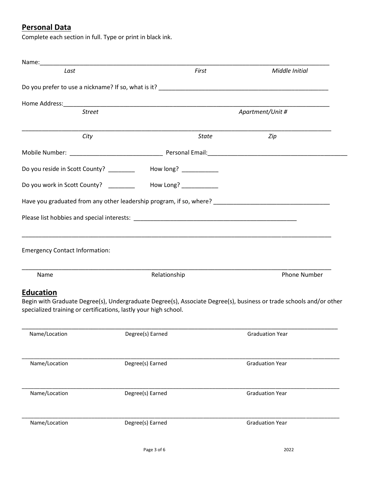# **Personal Data**

Complete each section in full. Type or print in black ink.

| Name:______________                   |                                                                                                                                                                                                                                                                                                                 |                  |                                                                                                                     |
|---------------------------------------|-----------------------------------------------------------------------------------------------------------------------------------------------------------------------------------------------------------------------------------------------------------------------------------------------------------------|------------------|---------------------------------------------------------------------------------------------------------------------|
| Last                                  |                                                                                                                                                                                                                                                                                                                 | First            | Middle Initial                                                                                                      |
|                                       |                                                                                                                                                                                                                                                                                                                 |                  |                                                                                                                     |
|                                       |                                                                                                                                                                                                                                                                                                                 |                  |                                                                                                                     |
| <b>Street</b>                         |                                                                                                                                                                                                                                                                                                                 | Apartment/Unit # |                                                                                                                     |
| City                                  |                                                                                                                                                                                                                                                                                                                 | <b>State</b>     | Zip                                                                                                                 |
|                                       |                                                                                                                                                                                                                                                                                                                 |                  |                                                                                                                     |
|                                       | Do you reside in Scott County? __________ How long? _________                                                                                                                                                                                                                                                   |                  |                                                                                                                     |
| Do you work in Scott County? _______  | How Long? $\frac{1}{2}$ $\frac{1}{2}$ $\frac{1}{2}$ $\frac{1}{2}$ $\frac{1}{2}$ $\frac{1}{2}$ $\frac{1}{2}$ $\frac{1}{2}$ $\frac{1}{2}$ $\frac{1}{2}$ $\frac{1}{2}$ $\frac{1}{2}$ $\frac{1}{2}$ $\frac{1}{2}$ $\frac{1}{2}$ $\frac{1}{2}$ $\frac{1}{2}$ $\frac{1}{2}$ $\frac{1}{2}$ $\frac{1}{2}$ $\frac{1}{2}$ |                  |                                                                                                                     |
|                                       |                                                                                                                                                                                                                                                                                                                 |                  | Have you graduated from any other leadership program, if so, where?                                                 |
|                                       |                                                                                                                                                                                                                                                                                                                 |                  |                                                                                                                     |
| <b>Emergency Contact Information:</b> |                                                                                                                                                                                                                                                                                                                 |                  |                                                                                                                     |
| Name                                  | Relationship                                                                                                                                                                                                                                                                                                    |                  | <b>Phone Number</b>                                                                                                 |
| <b>Education</b>                      |                                                                                                                                                                                                                                                                                                                 |                  |                                                                                                                     |
|                                       | specialized training or certifications, lastly your high school.                                                                                                                                                                                                                                                |                  | Begin with Graduate Degree(s), Undergraduate Degree(s), Associate Degree(s), business or trade schools and/or other |
| Name/Location                         | Degree(s) Earned                                                                                                                                                                                                                                                                                                |                  | <b>Graduation Year</b>                                                                                              |
| Name/Location                         | Degree(s) Earned                                                                                                                                                                                                                                                                                                |                  | <b>Graduation Year</b>                                                                                              |
| Name/Location                         | Degree(s) Earned                                                                                                                                                                                                                                                                                                |                  | <b>Graduation Year</b>                                                                                              |
| Name/Location                         | Degree(s) Earned                                                                                                                                                                                                                                                                                                |                  | <b>Graduation Year</b>                                                                                              |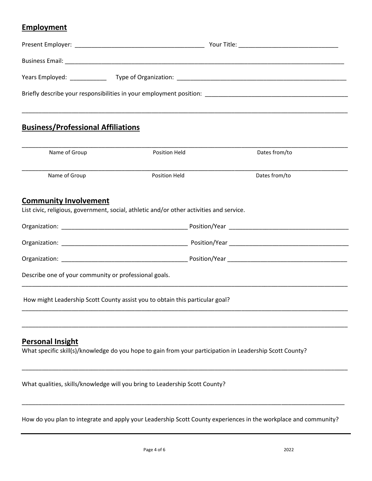# **Employment**

| Briefly describe your responsibilities in your employment position: |  |  |  |  |
|---------------------------------------------------------------------|--|--|--|--|
|                                                                     |  |  |  |  |

# **Business/Professional Affiliations**

| Name of Group                                         | Position Held                                                                                            | Dates from/to |
|-------------------------------------------------------|----------------------------------------------------------------------------------------------------------|---------------|
| Name of Group                                         | Position Held                                                                                            | Dates from/to |
| <b>Community Involvement</b>                          |                                                                                                          |               |
|                                                       | List civic, religious, government, social, athletic and/or other activities and service.                 |               |
|                                                       |                                                                                                          |               |
|                                                       |                                                                                                          |               |
|                                                       |                                                                                                          |               |
| Describe one of your community or professional goals. |                                                                                                          |               |
|                                                       | How might Leadership Scott County assist you to obtain this particular goal?                             |               |
|                                                       |                                                                                                          |               |
| <b>Personal Insight</b>                               | What specific skill(s)/knowledge do you hope to gain from your participation in Leadership Scott County? |               |

What qualities, skills/knowledge will you bring to Leadership Scott County?

How do you plan to integrate and apply your Leadership Scott County experiences in the workplace and community?

\_\_\_\_\_\_\_\_\_\_\_\_\_\_\_\_\_\_\_\_\_\_\_\_\_\_\_\_\_\_\_\_\_\_\_\_\_\_\_\_\_\_\_\_\_\_\_\_\_\_\_\_\_\_\_\_\_\_\_\_\_\_\_\_\_\_\_\_\_\_\_\_\_\_\_\_\_\_\_\_\_\_\_\_\_\_\_\_\_\_\_\_\_\_\_\_\_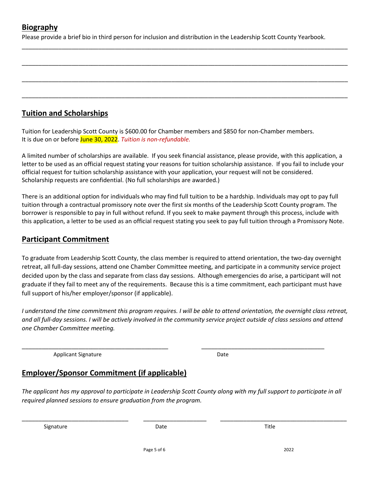# **Biography**

Please provide a brief bio in third person for inclusion and distribution in the Leadership Scott County Yearbook.

\_\_\_\_\_\_\_\_\_\_\_\_\_\_\_\_\_\_\_\_\_\_\_\_\_\_\_\_\_\_\_\_\_\_\_\_\_\_\_\_\_\_\_\_\_\_\_\_\_\_\_\_\_\_\_\_\_\_\_\_\_\_\_\_\_\_\_\_\_\_\_\_\_\_\_\_\_\_\_\_\_\_\_\_\_\_\_\_\_\_\_\_\_\_\_\_\_\_

\_\_\_\_\_\_\_\_\_\_\_\_\_\_\_\_\_\_\_\_\_\_\_\_\_\_\_\_\_\_\_\_\_\_\_\_\_\_\_\_\_\_\_\_\_\_\_\_\_\_\_\_\_\_\_\_\_\_\_\_\_\_\_\_\_\_\_\_\_\_\_\_\_\_\_\_\_\_\_\_\_\_\_\_\_\_\_\_\_\_\_\_\_\_\_\_\_\_

\_\_\_\_\_\_\_\_\_\_\_\_\_\_\_\_\_\_\_\_\_\_\_\_\_\_\_\_\_\_\_\_\_\_\_\_\_\_\_\_\_\_\_\_\_\_\_\_\_\_\_\_\_\_\_\_\_\_\_\_\_\_\_\_\_\_\_\_\_\_\_\_\_\_\_\_\_\_\_\_\_\_\_\_\_\_\_\_\_\_\_\_\_\_\_\_\_\_

\_\_\_\_\_\_\_\_\_\_\_\_\_\_\_\_\_\_\_\_\_\_\_\_\_\_\_\_\_\_\_\_\_\_\_\_\_\_\_\_\_\_\_\_\_\_\_\_\_\_\_\_\_\_\_\_\_\_\_\_\_\_\_\_\_\_\_\_\_\_\_\_\_\_\_\_\_\_\_\_\_\_\_\_\_\_\_\_\_\_\_\_\_\_\_\_\_\_

# **Tuition and Scholarships**

Tuition for Leadership Scott County is \$600.00 for Chamber members and \$850 for non-Chamber members. It is due on or before June 30, 2022. *Tuition is non-refundable.*

A limited number of scholarships are available. If you seek financial assistance, please provide, with this application, a letter to be used as an official request stating your reasons for tuition scholarship assistance. If you fail to include your official request for tuition scholarship assistance with your application, your request will not be considered. Scholarship requests are confidential. (No full scholarships are awarded.)

There is an additional option for individuals who may find full tuition to be a hardship. Individuals may opt to pay full tuition through a contractual promissory note over the first six months of the Leadership Scott County program. The borrower is responsible to pay in full without refund. If you seek to make payment through this process, include with this application, a letter to be used as an official request stating you seek to pay full tuition through a Promissory Note.

# **Participant Commitment**

To graduate from Leadership Scott County, the class member is required to attend orientation, the two-day overnight retreat, all full-day sessions, attend one Chamber Committee meeting, and participate in a community service project decided upon by the class and separate from class day sessions. Although emergencies do arise, a participant will not graduate if they fail to meet any of the requirements. Because this is a time commitment, each participant must have full support of his/her employer/sponsor (if applicable).

*I understand the time commitment this program requires. I will be able to attend orientation, the overnight class retreat, and all full-day sessions. I will be actively involved in the community service project outside of class sessions and attend one Chamber Committee meeting.*

\_\_\_\_\_\_\_\_\_\_\_\_\_\_\_\_\_\_\_\_\_\_\_\_\_\_\_\_\_\_\_\_\_\_\_\_\_\_\_\_\_\_\_\_ \_\_\_\_\_\_\_\_\_\_\_\_\_\_\_\_\_\_\_\_\_\_\_\_\_\_\_\_\_\_\_\_\_\_\_\_\_

Applicant Signature Date

# **Employer/Sponsor Commitment (if applicable)**

*The applicant has my approval to participate in Leadership Scott County along with my full support to participate in all required planned sessions to ensure graduation from the program.* 

\_\_\_\_\_\_\_\_\_\_\_\_\_\_\_\_\_\_\_\_\_\_\_\_\_\_\_\_\_\_\_\_ \_\_\_\_\_\_\_\_\_\_\_\_\_\_\_\_\_\_\_ \_\_\_\_\_\_\_\_\_\_\_\_\_\_\_\_\_\_\_\_\_\_\_\_\_\_\_\_\_\_\_\_\_\_\_\_\_\_

Signature and the Community Contract of the Date of the Community Community Community Community Community Comm